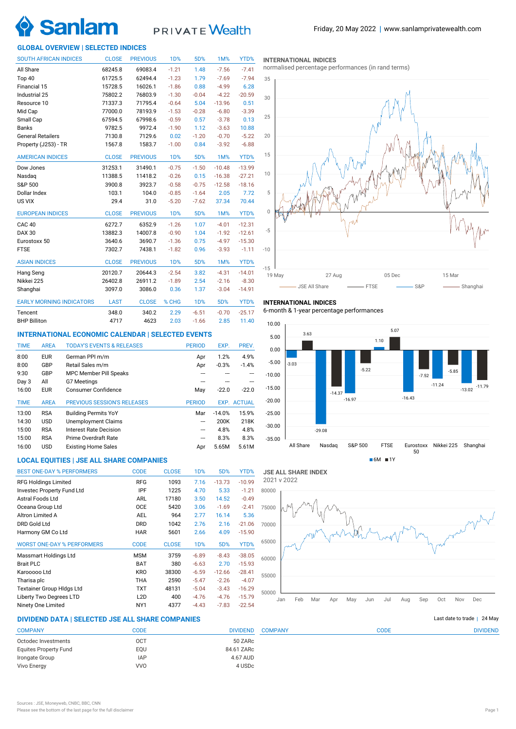

# PRIVATE Wealth

## **GLOBAL OVERVIEW | SELECTED INDICES**

| <b>SOUTH AFRICAN INDICES</b>    | <b>CLOSE</b> | <b>PREVIOUS</b> | 1 <sub>D</sub> % | 5D%     | 1M%      | YTD%     |
|---------------------------------|--------------|-----------------|------------------|---------|----------|----------|
| All Share                       | 68245.8      | 69083.4         | $-1.21$          | 1.48    | $-7.56$  | $-7.41$  |
| Top 40                          | 61725.5      | 62494.4         | $-1.23$          | 1.79    | $-7.69$  | $-7.94$  |
| Financial 15                    | 15728.5      | 16026.1         | $-1.86$          | 0.88    | $-4.99$  | 6.28     |
| Industrial 25                   | 75802.2      | 76803.9         | $-1.30$          | $-0.04$ | $-4.22$  | $-20.59$ |
| Resource 10                     | 71337.3      | 71795.4         | $-0.64$          | 5.04    | $-13.96$ | 0.51     |
| Mid Cap                         | 77000.0      | 78193.9         | $-1.53$          | $-0.28$ | $-6.80$  | $-3.39$  |
| Small Cap                       | 67594.5      | 67998.6         | $-0.59$          | 0.57    | $-3.78$  | 0.13     |
| <b>Banks</b>                    | 9782.5       | 9972.4          | $-1.90$          | 1.12    | $-3.63$  | 10.88    |
| <b>General Retailers</b>        | 7130.8       | 7129.6          | 0.02             | $-1.20$ | $-0.70$  | $-5.22$  |
| Property (J253) - TR            | 1567.8       | 1583.7          | $-1.00$          | 0.84    | $-3.92$  | $-6.88$  |
| <b>AMERICAN INDICES</b>         | <b>CLOSE</b> | <b>PREVIOUS</b> | <b>1D%</b>       | 5D%     | 1M%      | YTD%     |
| Dow Jones                       | 31253.1      | 31490.1         | $-0.75$          | $-1.50$ | $-10.48$ | $-13.99$ |
| Nasdaq                          | 11388.5      | 11418.2         | $-0.26$          | 0.15    | $-16.38$ | $-27.21$ |
| S&P 500                         | 3900.8       | 3923.7          | $-0.58$          | $-0.75$ | $-12.58$ | $-18.16$ |
| Dollar Index                    | 103.1        | 104.0           | $-0.85$          | $-1.64$ | 2.05     | 7.72     |
| US VIX                          | 29.4         | 31.0            | $-5.20$          | $-7.62$ | 37.34    | 70.44    |
| <b>EUROPEAN INDICES</b>         | <b>CLOSE</b> | <b>PREVIOUS</b> | <b>1D%</b>       | 5D%     | 1M%      | YTD%     |
| CAC <sub>40</sub>               | 6272.7       | 6352.9          | $-1.26$          | 1.07    | $-4.01$  | $-12.31$ |
| <b>DAX 30</b>                   | 13882.3      | 14007.8         | $-0.90$          | 1.04    | $-1.92$  | $-12.61$ |
| Eurostoxx 50                    | 3640.6       | 3690.7          | $-1.36$          | 0.75    | $-4.97$  | $-15.30$ |
| <b>FTSE</b>                     | 7302.7       | 7438.1          | $-1.82$          | 0.96    | $-3.93$  | $-1.11$  |
| <b>ASIAN INDICES</b>            | <b>CLOSE</b> | <b>PREVIOUS</b> | <b>1D%</b>       | 5D%     | 1M%      | YTD%     |
| Hang Seng                       | 20120.7      | 20644.3         | $-2.54$          | 3.82    | $-4.31$  | $-14.01$ |
| Nikkei 225                      | 26402.8      | 26911.2         | $-1.89$          | 2.54    | $-2.16$  | $-8.30$  |
| Shanghai                        | 3097.0       | 3086.0          | 0.36             | 1.37    | $-3.04$  | $-14.91$ |
| <b>EARLY MORNING INDICATORS</b> | <b>LAST</b>  | <b>CLOSE</b>    | % CHG            | 1D%     | 5D%      | YTD%     |
| Tencent                         | 348.0        | 340.2           | 2.29             | $-6.51$ | $-0.70$  | $-25.17$ |
| <b>BHP Billiton</b>             | 4717         | 4623            | 2.03             | $-1.66$ | 2.85     | 11.40    |

## **INTERNATIONAL ECONOMIC CALENDAR | SELECTED EVENTS**

| <b>TIME</b> | <b>AREA</b> | <b>TODAY'S EVENTS &amp; RELEASES</b> | <b>PERIOD</b>            | EXP.     | PREV.              |
|-------------|-------------|--------------------------------------|--------------------------|----------|--------------------|
| 8:00        | <b>EUR</b>  | German PPI m/m                       | Apr                      | 1.2%     | 4.9%               |
| 8:00        | GBP         | Retail Sales m/m                     | Apr                      | $-0.3%$  | $-1.4%$            |
| 9:30        | GBP         | <b>MPC Member Pill Speaks</b>        |                          |          |                    |
| Day 3       | All         | G7 Meetings                          |                          |          |                    |
| 16:00       | <b>EUR</b>  | Consumer Confidence                  | May                      | $-22.0$  | $-22.0$            |
|             |             |                                      |                          |          |                    |
| <b>TIME</b> | <b>AREA</b> | <b>PREVIOUS SESSION'S RELEASES</b>   | <b>PERIOD</b>            |          | <b>EXP. ACTUAL</b> |
| 13:00       | <b>RSA</b>  | <b>Building Permits YoY</b>          | Mar                      | $-14.0%$ | 15.9%              |
| 14:30       | <b>USD</b>  | <b>Unemployment Claims</b>           | ---                      | 200K     | 218K               |
| 15:00       | <b>RSA</b>  | Interest Rate Decision               | ---                      | 4.8%     | 4.8%               |
| 15:00       | <b>RSA</b>  | Prime Overdraft Rate                 | $\overline{\phantom{a}}$ | 8.3%     | 8.3%               |
| 16:00       | <b>USD</b>  | <b>Existing Home Sales</b>           | Apr                      | 5.65M    | 5.61M              |

## **LOCAL EQUITIES | JSE ALL SHARE COMPANIES**

| <b>BEST ONE-DAY % PERFORMERS</b>  | <b>CODE</b> | <b>CLOSE</b> | 1 <sub>D</sub> % | 5D%      | YTD%     |
|-----------------------------------|-------------|--------------|------------------|----------|----------|
| <b>RFG Holdings Limited</b>       | <b>RFG</b>  | 1093         | 7.16             | $-13.73$ | $-10.99$ |
| Investec Property Fund Ltd        | IPF         | 1225         | 4.70             | 5.33     | $-1.21$  |
| Astral Foods Ltd                  | <b>ARL</b>  | 17180        | 3.50             | 14.52    | $-0.49$  |
| Oceana Group Ltd                  | <b>OCE</b>  | 5420         | 3.06             | $-1.69$  | $-2.41$  |
| Altron Limited A                  | <b>AEL</b>  | 964          | 2.77             | 16.14    | 5.36     |
| DRD Gold Ltd                      | <b>DRD</b>  | 1042         | 2.76             | 2.16     | $-21.06$ |
| Harmony GM Co Ltd                 | <b>HAR</b>  | 5601         | 2.66             | 4.09     | $-15.90$ |
| <b>WORST ONE-DAY % PERFORMERS</b> | <b>CODE</b> | <b>CLOSE</b> | 1 <sub>D</sub> % | 5D%      | YTD%     |
| Massmart Holdings Ltd             | <b>MSM</b>  | 3759         | $-6.89$          | $-8.43$  | $-38.05$ |
| <b>Brait PLC</b>                  | <b>BAT</b>  | 380          | $-6.63$          | 2.70     | $-15.93$ |
| Karooooo Ltd                      | <b>KRO</b>  | 38300        | $-6.59$          | $-12.66$ | $-28.41$ |
| Tharisa plc                       | THA         | 2590         | $-5.47$          | $-2.26$  | $-4.07$  |
| <b>Textainer Group Hidgs Ltd</b>  | TXT         | 48131        | $-5.04$          | $-3.43$  | $-16.29$ |
| Liberty Two Degrees LTD           | L2D         | 400          | $-4.76$          | $-4.76$  | $-15.79$ |
| Ninety One Limited                | NY1         | 4377         | $-4.43$          | $-7.83$  | $-22.54$ |

#### **INTERNATIONAL INDICES**

normalised percentage performances (in rand terms)



## **INTERNATIONAL INDICES**

6-month & 1-year percentage performances





COMPANY CODE DIVIDEND

## **DIVIDEND DATA | SELECTED JSE ALL SHARE COMPANIES |**

| <b>COMPANY</b>               | CODE       | <b>DIVIDEND</b> |
|------------------------------|------------|-----------------|
| Octodec Investments          | OCT        | 50 ZARc         |
| <b>Equites Property Fund</b> | EOU        | 84.61 ZARc      |
| Irongate Group               | <b>IAP</b> | 4.67 AUD        |
| Vivo Energy                  | <b>VVO</b> | 4 USDc          |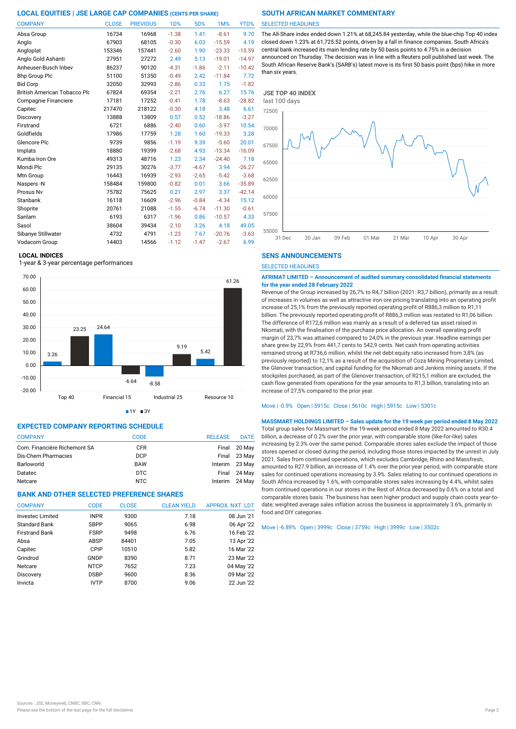| <b>COMPANY</b>                      | <b>CLOSE</b> | <b>PREVIOUS</b> | <b>1D%</b> | 5D%     | 1M%      | YTD%     |
|-------------------------------------|--------------|-----------------|------------|---------|----------|----------|
| Absa Group                          | 16734        | 16968           | $-1.38$    | 1.41    | $-8.61$  | 9.70     |
| Anglo                               | 67903        | 68105           | $-0.30$    | 6.03    | $-15.59$ | 4.19     |
| Angloplat                           | 153346       | 157441          | $-2.60$    | 1.90    | $-23.33$ | $-15.59$ |
| Anglo Gold Ashanti                  | 27951        | 27272           | 2.49       | 5.13    | $-19.01$ | $-14.97$ |
| Anheuser-Busch Inbev                | 86237        | 90120           | $-4.31$    | $-1.86$ | $-2.11$  | $-10.42$ |
| <b>Bhp Group Plc</b>                | 51100        | 51350           | $-0.49$    | 2.42    | $-11.84$ | 7.72     |
| <b>Bid Corp</b>                     | 32050        | 32993           | $-2.86$    | 0.33    | 1.75     | $-1.82$  |
| <b>British American Tobacco Plo</b> | 67824        | 69354           | $-2.21$    | 2.76    | 6.27     | 15.76    |
| Compagnie Financiere                | 17181        | 17252           | $-0.41$    | 1.78    | $-8.63$  | $-28.82$ |
| Capitec                             | 217470       | 218122          | $-0.30$    | 4.18    | 3.48     | 6.61     |
| Discovery                           | 13888        | 13809           | 0.57       | 0.52    | $-18.86$ | $-3.27$  |
| Firstrand                           | 6721         | 6886            | $-2.40$    | 0.60    | $-3.97$  | 10.54    |
| Goldfields                          | 17986        | 17759           | 1.28       | 1.60    | $-19.33$ | 3.28     |
| Glencore Plc                        | 9739         | 9856            | $-1.19$    | 9.39    | $-5.60$  | 20.01    |
| Implats                             | 18880        | 19399           | $-2.68$    | 4.93    | $-13.34$ | $-16.09$ |
| Kumba Iron Ore                      | 49313        | 48716           | 1.23       | 2.34    | $-24.40$ | 7.18     |
| Mondi Plc                           | 29135        | 30276           | $-3.77$    | $-4.67$ | 3.94     | $-26.27$ |
| Mtn Group                           | 16443        | 16939           | $-2.93$    | $-2.65$ | $-5.42$  | $-3.68$  |
| Naspers-N                           | 158484       | 159800          | $-0.82$    | 0.01    | 3.66     | $-35.89$ |
| Prosus Nv                           | 75782        | 75625           | 0.21       | 2.97    | 3.37     | $-42.14$ |
| Stanbank                            | 16118        | 16609           | $-2.96$    | $-0.84$ | $-4.34$  | 15.12    |
| Shoprite                            | 20761        | 21088           | $-1.55$    | $-6.74$ | $-11.30$ | $-0.61$  |
| Sanlam                              | 6193         | 6317            | $-1.96$    | 0.86    | $-10.57$ | 4.33     |
| Sasol                               | 38604        | 39434           | $-2.10$    | 3.26    | 4.18     | 49.05    |
| Sibanye Stillwater                  | 4732         | 4791            | $-1.23$    | 7.67    | $-20.76$ | $-3.63$  |
| Vodacom Group                       | 14403        | 14566           | $-1.12$    | $-1.47$ | $-2.67$  | 6.99     |

### **LOCAL INDICES**

1-year & 3-year percentage performances



 $1Y = 3Y$ 

## **EXPECTED COMPANY REPORTING SCHEDULE**

| <b>COMPANY</b>               | CODE       | <b>RELEASE</b> | <b>DATE</b>  |
|------------------------------|------------|----------------|--------------|
| Com. Financière Richemont SA | <b>CFR</b> |                | Final 20 May |
| Dis-Chem Pharmacies          | <b>DCP</b> |                | Final 23 May |
| Barloworld                   | <b>BAW</b> | Interim 23 May |              |
| Datatec                      | DTC        |                | Final 24 May |
| Netcare                      | NTC.       | Interim 24 May |              |

## **BANK AND OTHER SELECTED PREFERENCE SHARES**

| <b>COMPANY</b>        | <b>CODE</b> | <b>CLOSE</b> | <b>CLEAN YIELD</b> | APPROX. NXT. LDT |
|-----------------------|-------------|--------------|--------------------|------------------|
| Invested Limited      | <b>INPR</b> | 9300         | 7.18               | 08 Jun '21       |
| <b>Standard Bank</b>  | <b>SBPP</b> | 9065         | 6.98               | 06 Apr '22       |
| <b>Firstrand Bank</b> | <b>FSRP</b> | 9498         | 6.76               | 16 Feb '22       |
| Absa                  | <b>ABSP</b> | 84401        | 7.05               | 13 Apr '22       |
| Capitec               | CPIP        | 10510        | 5.82               | 16 Mar '22       |
| Grindrod              | GNDP        | 8390         | 8.71               | 23 Mar '22       |
| Netcare               | <b>NTCP</b> | 7652         | 7.23               | 04 May '22       |
| Discovery             | <b>DSBP</b> | 9600         | 8.36               | 09 Mar '22       |
| Invicta               | <b>IVTP</b> | 8700         | 9.06               | 22 Jun '22       |

### SELECTED HEADLINES

The All-Share index ended down 1.21% at 68,245.84 yesterday, while the blue-chip Top 40 index closed down 1.23% at 61,725.52 points, driven by a fall in finance companies. South Africa's central bank increased its main lending rate by 50 basis points to 4.75% in a decision announced on Thursday. The decision was in line with a Reuters poll published last week. The South African Reserve Bank's (SARB's) latest move is its first 50 basis point (bps) hike in more than six years.



## **SENS ANNOUNCEMENTS**

SELECTED HEADLINES

**AFRIMAT LIMITED – Announcement of audited summary consolidated financial statements for the year ended 28 February 2022**

Revenue of the Group increased by 26,7% to R4,7 billion (2021: R3,7 billion), primarily as a result of increases in volumes as well as attractive iron ore pricing translating into an operating profit increase of 25,1% from the previously reported operating profit of R886,3 million to R1,11 billion. The previously reported operating profit of R886,3 million was restated to R1,06 billion. The difference of R172,6 million was mainly as a result of a deferred tax asset raised in Nkomati, with the finalisation of the purchase price allocation. An overall operating profit margin of 23,7% was attained compared to 24,0% in the previous year. Headline earnings per share grew by 22,9% from 441,7 cents to 542,9 cents. Net cash from operating activities remained strong at R736,6 million, whilst the net debt:equity ratio increased from 3,8% (as previously reported) to 12,1% as a result of the acquisition of Coza Mining Proprietary Limited, the Glenover transaction, and capital funding for the Nkomati and Jenkins mining assets. If the stockpiles purchased, as part of the Glenover transaction, of R215,1 million are excluded, the cash flow generated from operations for the year amounts to R1,3 billion, translating into an increase of 27,5% compared to the prior year.

Move | -0.9% Open | 5915c Close | 5610c High | 5915c Low | 5301c

**MASSMART HOLDINGS LIMITED – Sales update for the 19 week per period ended 8 May 2022** Total group sales for Massmart for the 19-week period ended 8 May 2022 amounted to R30.4 billion, a decrease of 0.2% over the prior year, with comparable store (like-for-like) sales increasing by 2.3% over the same period. Comparable stores sales exclude the impact of those stores opened or closed during the period, including those stores impacted by the unrest in July 2021. Sales from continued operations, which excludes Cambridge, Rhino and Massfresh, amounted to R27.9 billion, an increase of 1.4% over the prior year period, with comparable store sales for continued operations increasing by 3.9%. Sales relating to our continued operations in South Africa increased by 1.6%, with comparable stores sales increasing by 4.4%, whilst sales from continued operations in our stores in the Rest of Africa decreased by 0.6% on a total and comparable stores basis. The business has seen higher product and supply chain costs year-todate; weighted average sales inflation across the business is approximately 3.6%, primarily in food and DIY categories.

Move | -6.89% Open | 3999c Close | 3759c High | 3999c Low | 3502c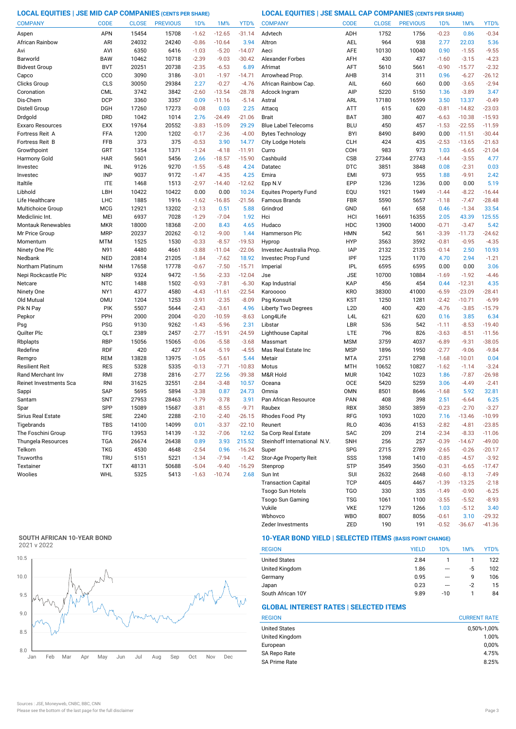**LOCAL EQUITIES | JSE MID CAP COMPANIES (CENTS PER SHARE) LOCAL EQUITIES | JSE SMALL CAP COMPANIES (CENTS PER SHARE)**

| <b>COMPANY</b>           | <b>CODE</b>              | <b>CLOSE</b> | <b>PREVIOUS</b> | 1 <sub>D</sub> %   | 1M%                | YTD%               | <b>COMPANY</b>                | <b>CODE</b>              | <b>CLOSE</b> | <b>PREVIOUS</b> | 1D%                | 1M%                | YTD%            |
|--------------------------|--------------------------|--------------|-----------------|--------------------|--------------------|--------------------|-------------------------------|--------------------------|--------------|-----------------|--------------------|--------------------|-----------------|
| Aspen                    | <b>APN</b>               | 15454        | 15708           | $-1.62$            | $-12.65$           | $-31.14$           | Advtech                       | ADH                      | 1752         | 1756            | $-0.23$            | 0.86               | $-0.34$         |
| African Rainbow          | ARI                      | 24032        | 24240           | $-0.86$            | $-10.64$           | 3.94               | Altron                        | AEL                      | 964          | 938             | 2.77               | 22.03              | 5.36            |
| Avi                      | AVI                      | 6350         | 6416            | $-1.03$            | $-5.20$            | $-14.07$           | Aeci                          | <b>AFE</b>               | 10130        | 10040           | 0.90               | $-1.55$            | $-9.55$         |
| Barworld                 | <b>BAW</b>               | 10462        | 10718           | $-2.39$            | $-9.03$            | $-30.42$           | <b>Alexander Forbes</b>       | AFH                      | 430          | 437             | $-1.60$            | $-3.15$            | $-4.23$         |
| <b>Bidvest Group</b>     | <b>BVT</b>               | 20251        | 20738           | $-2.35$            | $-6.53$            | 6.89               | Afrimat                       | AFT                      | 5610         | 5661            | $-0.90$            | $-15.77$           | $-2.32$         |
| Capco                    | CCO                      | 3090         | 3186            | $-3.01$            | $-1.97$            | $-14.71$           | Arrowhead Prop.               | AHB                      | 314          | 311             | 0.96               | $-6.27$            | $-26.12$        |
| Clicks Group             | CLS                      | 30050        | 29384           | 2.27               | $-0.27$            | $-4.76$            | African Rainbow Cap.          | AIL                      | 660          | 660             | 0.00               | $-3.65$            | $-2.94$         |
| Coronation               | <b>CML</b>               | 3742         | 3842            | $-2.60$            | $-13.54$           | $-28.78$           | Adcock Ingram                 | AIP                      | 5220         | 5150            | 1.36               | $-3.89$            | 3.47            |
| Dis-Chem                 | <b>DCP</b>               | 3360         | 3357            | 0.09               | $-11.16$           | $-5.14$            | Astral                        | ARL                      | 17180        | 16599           | 3.50               | 13.37              | $-0.49$         |
| Distell Group            | DGH                      | 17260        | 17273           | $-0.08$            | 0.03               | 2.25               | Attacq                        | ATT                      | 615          | 620             | $-0.81$            | $-14.82$           | $-23.03$        |
| Drdgold                  | <b>DRD</b>               | 1042         | 1014            | 2.76               | $-24.49$           | $-21.06$           | <b>Brait</b>                  | <b>BAT</b>               | 380          | 407             | $-6.63$            | $-10.38$           | $-15.93$        |
| Exxaro Resources         | <b>EXX</b>               | 19764        | 20552           | $-3.83$            | $-15.09$           | 29.29              | <b>Blue Label Telecoms</b>    | <b>BLU</b>               | 450          | 457             | $-1.53$            | $-22.55$           | $-11.59$        |
| Fortress Reit A          | FFA                      | 1200         | 1202            | $-0.17$            | $-2.36$            | $-4.00$            | <b>Bytes Technology</b>       | <b>BYI</b>               | 8490         | 8490            | 0.00               | $-11.51$           | $-30.44$        |
| Fortress Reit B          | <b>FFB</b>               | 373          | 375             | $-0.53$            | 3.90               | 14.77              | City Lodge Hotels             | <b>CLH</b>               | 424          | 435             | $-2.53$            | $-13.65$           | $-21.63$        |
| Growthpoint              | GRT                      | 1354         | 1371            | $-1.24$            | $-4.18$            | $-11.91$           | Curro                         | COH                      | 983          | 973             | 1.03               | $-6.65$            | $-21.04$        |
| Harmony Gold             | <b>HAR</b>               | 5601         | 5456            | 2.66               | $-18.57$           | $-15.90$           | Cashbuild                     | <b>CSB</b>               | 27344        | 27743           | $-1.44$            | $-3.55$            | 4.77            |
| Investec                 | INL                      | 9126         | 9270            | $-1.55$            | $-5.48$            | 4.24               | Datatec                       | <b>DTC</b>               | 3851         | 3848            | 0.08               | $-2.31$            | 0.03            |
| Investec                 | <b>INP</b>               | 9037         | 9172            | $-1.47$            | $-4.35$            | 4.25               | Emira                         | <b>EMI</b>               | 973          | 955             | 1.88               | $-9.91$            | 2.42            |
| Italtile                 | <b>ITE</b>               | 1468         | 1513            | $-2.97$            | $-14.40$           | $-12.62$           | Epp N.V                       | EPP                      | 1236         | 1236            | 0.00               | 0.00               | 5.19            |
| Libhold                  | LBH                      | 10422        | 10422           | 0.00               | 0.00               | 10.24              | <b>Equites Property Fund</b>  | EQU                      | 1921         | 1949            | $-1.44$            | $-8.22$            | $-16.44$        |
| Life Healthcare          | <b>LHC</b>               | 1885         | 1916            | $-1.62$            | $-16.85$           | $-21.56$           | Famous Brands                 | <b>FBR</b>               | 5590         | 5657            | $-1.18$            | $-7.47$            | $-28.48$        |
| Multichoice Group        | <b>MCG</b>               | 12921        | 13202           | $-2.13$            | 0.51               | 5.88               | Grindrod                      | GND                      | 661          | 658             | 0.46               | $-1.34$            | 33.54           |
| Mediclinic Int.          | MEI                      | 6937         | 7028            | $-1.29$            | $-7.04$            | 1.92               | Hci                           | HCI                      | 16691        | 16355           | 2.05               | 43.39              | 125.55          |
| Montauk Renewables       | <b>MKR</b>               | 18000        | 18368           | $-2.00$            | 8.43               | 4.65               | Hudaco                        | <b>HDC</b>               | 13900        | 14000           | $-0.71$            | $-3.47$            | 5.42            |
| Mr Price Group           | <b>MRP</b>               | 20237        | 20262           | $-0.12$            | $-9.00$            | 1.44               | Hammerson Plc                 | <b>HMN</b>               | 542          | 561             | $-3.39$            | $-11.73$           | $-24.62$        |
| Momentum                 | <b>MTM</b>               | 1525         | 1530            | $-0.33$            | $-8.57$            | $-19.53$           | Hyprop                        | <b>HYP</b>               | 3563         | 3592            | $-0.81$            | $-0.95$            | $-4.35$         |
| Ninety One Plc           | N91                      | 4480         | 4661            | $-3.88$            | $-11.04$           | $-22.06$           | Investec Australia Prop.      | <b>IAP</b>               | 2132         | 2135            | $-0.14$            | 2.50               | 10.93           |
| Nedbank                  | <b>NED</b>               | 20814        | 21205           | $-1.84$            | $-7.62$            | 18.92              | Investec Prop Fund            | IPF                      | 1225         | 1170            | 4.70               | 2.94               | $-1.21$         |
| Northam Platinum         | <b>NHM</b>               | 17658        | 17778           | $-0.67$            | $-7.50$            | $-15.71$           | Imperial                      | <b>IPL</b>               | 6595         | 6595            | 0.00               | 0.00               | 3.06            |
| Nepi Rockcastle Plc      | <b>NRP</b>               | 9324         | 9472            | $-1.56$            | $-2.33$            | $-12.04$           | Jse                           | <b>JSE</b>               | 10700        | 10884           | $-1.69$            | $-1.92$            | $-4.46$         |
| Netcare                  | <b>NTC</b>               | 1488         | 1502            | $-0.93$            | $-7.81$            | $-6.30$            | Kap Industrial                | KAP                      | 456          | 454             | 0.44               | $-12.31$           | 4.35            |
| Ninety One               | NY1                      | 4377         | 4580            | $-4.43$            | $-11.61$           | $-22.54$           | Karooooo                      | <b>KRO</b>               | 38300        | 41000           | $-6.59$            | $-23.09$           | $-28.41$        |
| Old Mutual               | <b>OMU</b>               | 1204         | 1253            | $-3.91$            | $-2.35$            | $-8.09$            | Psg Konsult                   | <b>KST</b>               | 1250         | 1281            | $-2.42$            | $-10.71$           | $-6.99$         |
| Pik N Pay                | <b>PIK</b>               | 5507         | 5644            | $-2.43$            | $-3.61$            | 4.96               | <b>Liberty Two Degrees</b>    | L <sub>2</sub> D         | 400          | 420             | $-4.76$            | $-3.85$            | $-15.79$        |
| Pepkor                   | PPH                      | 2000         | 2004            | $-0.20$            | $-10.59$           | $-8.63$            | Long4Life                     | L <sub>4</sub> L         | 621          | 620             | 0.16               | 3.85               | 6.34            |
| Psg                      | <b>PSG</b>               | 9130         | 9262            | $-1.43$            | $-5.96$            | 2.31               | Libstar                       | LBR                      | 536          | 542             | $-1.11$            | $-8.53$            | $-19.40$        |
| Quilter Plc              | QLT                      | 2389         | 2457            | $-2.77$            | $-15.91$           | $-24.59$           | Lighthouse Capital            | LTE                      | 796          | 826             | $-3.63$            | $-8.51$            | $-11.56$        |
| Rbplapts                 | <b>RBP</b><br><b>RDF</b> | 15056<br>420 | 15065<br>427    | $-0.06$            | $-5.58$<br>$-5.19$ | $-3.68$<br>$-4.55$ | Massmart                      | <b>MSM</b><br><b>MSP</b> | 3759         | 4037<br>1950    | $-6.89$<br>$-2.77$ | $-9.31$<br>$-9.06$ | $-38.05$        |
| Redefine                 | REM                      | 13828        | 13975           | $-1.64$<br>$-1.05$ | $-5.61$            | 5.44               | Mas Real Estate Inc<br>Metair | <b>MTA</b>               | 1896<br>2751 | 2798            | $-1.68$            | $-10.01$           | $-9.84$<br>0.04 |
| Remgro<br>Resilient Reit | <b>RES</b>               | 5328         | 5335            | $-0.13$            | $-7.71$            | $-10.83$           | Motus                         | <b>MTH</b>               | 10652        | 10827           | $-1.62$            | $-1.14$            | $-3.24$         |
| Rand Merchant Inv        | RMI                      | 2738         | 2816            | $-2.77$            | 22.56              | $-39.38$           | M&R Hold                      | <b>MUR</b>               | 1042         | 1023            | 1.86               | $-7.87$            | $-26.98$        |
| Reinet Investments Sca   | <b>RNI</b>               | 31625        | 32551           | $-2.84$            | $-3.48$            | 10.57              | Oceana                        | <b>OCE</b>               | 5420         | 5259            | 3.06               | $-4.49$            | $-2.41$         |
| Sappi                    | <b>SAP</b>               | 5695         | 5894            | $-3.38$            | 0.87               | 24.73              | Omnia                         | <b>OMN</b>               | 8501         | 8646            | $-1.68$            | 5.92               | 32.81           |
| Santam                   | <b>SNT</b>               | 27953        | 28463           | $-1.79$            | $-3.78$            | 3.91               | Pan African Resource          | PAN                      | 408          | 398             | 2.51               | $-6.64$            | 6.25            |
| Spar                     | SPP                      | 15089        | 15687           | $-3.81$            | $-8.55$            | $-9.71$            | Raubex                        | <b>RBX</b>               | 3850         | 3859            | $-0.23$            | $-2.70$            | $-3.27$         |
| Sirius Real Estate       | <b>SRE</b>               | 2240         | 2288            | $-2.10$            | $-2.40$            | $-26.15$           | Rhodes Food Pty               | RFG                      | 1093         | 1020            | 7.16               | $-13.46$           | $-10.99$        |
| Tigebrands               | <b>TBS</b>               | 14100        | 14099           | 0.01               | $-3.37$            | $-22.10$           | Reunert                       | RLO                      | 4036         | 4153            | $-2.82$            | $-4.81$            | $-23.85$        |
| The Foschini Group       | <b>TFG</b>               | 13953        | 14139           | $-1.32$            | $-7.06$            | 12.62              | Sa Corp Real Estate           | SAC                      | 209          | 214             | $-2.34$            | $-8.33$            | $-11.06$        |
| Thungela Resources       | <b>TGA</b>               | 26674        | 26438           | 0.89               | 3.93               | 215.52             | Steinhoff International N.V.  | <b>SNH</b>               | 256          | 257             | $-0.39$            | $-14.67$           | $-49.00$        |
| Telkom                   | <b>TKG</b>               | 4530         | 4648            | $-2.54$            | 0.96               | $-16.24$           | Super                         | SPG                      | 2715         | 2789            | $-2.65$            | $-0.26$            | $-20.17$        |
| Truworths                | <b>TRU</b>               | 5151         | 5221            | $-1.34$            | $-7.94$            | $-1.42$            | Stor-Age Property Reit        | SSS                      | 1398         | 1410            | $-0.85$            | $-4.57$            | $-3.92$         |
| Textainer                | <b>TXT</b>               | 48131        | 50688           | $-5.04$            | $-9.40$            | $-16.29$           | Stenprop                      | <b>STP</b>               | 3549         | 3560            | $-0.31$            | $-6.65$            | $-17.47$        |
| Woolies                  | WHL                      | 5325         | 5413            | $-1.63$            | $-10.74$           | 2.68               | Sun Int                       | <b>SUI</b>               | 2632         | 2648            | $-0.60$            | $-8.13$            | $-7.49$         |
|                          |                          |              |                 |                    |                    |                    | <b>Transaction Capital</b>    | <b>TCP</b>               | 4405         | 4467            | $-1.39$            | $-13.25$           | $-2.18$         |
|                          |                          |              |                 |                    |                    |                    | Tsogo Sun Hotels              | TG <sub>O</sub>          | 330          | 335             | $-1.49$            | $-0.90$            | $-6.25$         |
|                          |                          |              |                 |                    |                    |                    |                               |                          |              |                 |                    |                    |                 |

## **SOUTH AFRICAN 10-YEAR BOND**



## **10-YEAR BOND YIELD | SELECTED ITEMS (BASIS POINT CHANGE)**

| <b>REGION</b>        | <b>YIELD</b> | 1D%   | 1M%  | YTD% |
|----------------------|--------------|-------|------|------|
| <b>United States</b> | 2.84         |       |      | 122  |
| United Kingdom       | 1.86         | ---   | -5   | 102  |
| Germany              | 0.95         | ---   | 9    | 106  |
| Japan                | 0.23         | ---   | $-2$ | 15   |
| South African 10Y    | 9.89         | $-10$ |      | 84   |

Wbhovco WBO 8007 8056 -0.61 3.10 -29.32 Vukile VKE 1279 1266 1.03 -5.12

Zeder Investments ZED 190 191 -0.52 -36.67 -41.36

Tsogo Sun Gaming TSG 1061 1100 -3.55 -5.52 -8.93

## **GLOBAL INTEREST RATES | SELECTED ITEMS**

| <b>REGION</b>        | <b>CURRENT RATE</b> |
|----------------------|---------------------|
| <b>United States</b> | 0,50%-1,00%         |
| United Kingdom       | 1.00%               |
| European             | 0,00%               |
| SA Repo Rate         | 4.75%               |
| <b>SA Prime Rate</b> | 8.25%               |

 $3.40$ <br> $-29.32$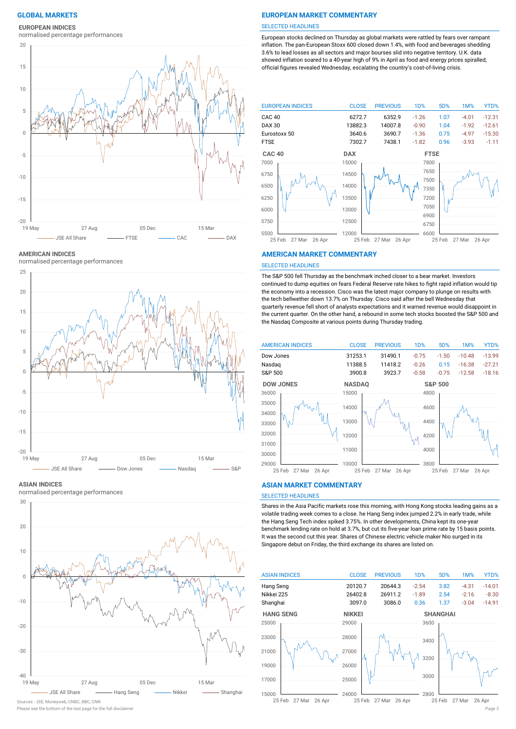#### **EUROPEAN INDICES**

normalised percentage performances



**AMERICAN INDICES**

normalised percentage performances



**ASIAN INDICES**

normalised percentage performances



Sources : JSE, Moneyweb, CNBC, BBC, CNN

## **GLOBAL MARKETS EUROPEAN MARKET COMMENTARY**

#### SELECTED HEADLINES

European stocks declined on Thursday as global markets were rattled by fears over rampant inflation. The pan-European Stoxx 600 closed down 1.4%, with food and beverages shedding 3.6% to lead losses as all sectors and major bourses slid into negative territory. U.K. data showed inflation soared to a 40-year high of 9% in April as food and energy prices spiralled, official figures revealed Wednesday, escalating the country's cost-of-living crisis.



#### **AMERICAN MARKET COMMENTARY**

#### SELECTED HEADLINES

The S&P 500 fell Thursday as the benchmark inched closer to a bear market. Investors continued to dump equities on fears Federal Reserve rate hikes to fight rapid inflation would tip the economy into a recession. Cisco was the latest major company to plunge on results with the tech bellwether down 13.7% on Thursday. Cisco said after the bell Wednesday that quarterly revenue fell short of analysts expectations and it warned revenue would disappoint in the current quarter. On the other hand, a rebound in some tech stocks boosted the S&P 500 and the Nasdaq Composite at various points during Thursday trading.



#### **ASIAN MARKET COMMENTARY**

### SELECTED HEADLINES

Shares in the Asia Pacific markets rose this morning, with Hong Kong stocks leading gains as a volatile trading week comes to a close. he Hang Seng index jumped 2.2% in early trade, while the Hang Seng Tech index spiked 3.75%. In other developments, China kept its one-year benchmark lending rate on hold at 3.7%, but cut its five-year loan prime rate by 15 basis points. It was the second cut this year. Shares of Chinese electric vehicle maker Nio surged in its Singapore debut on Friday, the third exchange its shares are listed on.



Please see the bottom of the last page for the full disclaimer Page 3